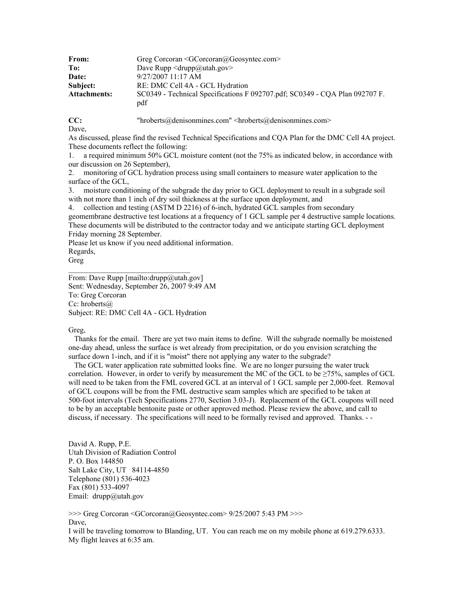| From:               | Greg Corcoran $\leq$ GCorcoran $\omega$ Geosyntec.com>                      |
|---------------------|-----------------------------------------------------------------------------|
| To:                 | Dave Rupp $\langle \text{drupp}(\hat{\omega})$ utah.gov $\rangle$           |
| Date:               | $9/27/2007$ 11:17 AM                                                        |
| Subject:            | RE: DMC Cell 4A - GCL Hydration                                             |
| <b>Attachments:</b> | SC0349 - Technical Specifications F 092707.pdf; SC0349 - CQA Plan 092707 F. |
|                     | pdf                                                                         |

**CC:** "hroberts@denisonmines.com" <hroberts@denisonmines.com>

Dave,

As discussed, please find the revised Technical Specifications and CQA Plan for the DMC Cell 4A project. These documents reflect the following:

1. a required minimum 50% GCL moisture content (not the 75% as indicated below, in accordance with our discussion on 26 September),

2. monitoring of GCL hydration process using small containers to measure water application to the surface of the GCL,

3. moisture conditioning of the subgrade the day prior to GCL deployment to result in a subgrade soil with not more than 1 inch of dry soil thickness at the surface upon deployment, and

4. collection and testing (ASTM D 2216) of 6-inch, hydrated GCL samples from secondary geomembrane destructive test locations at a frequency of 1 GCL sample per 4 destructive sample locations. These documents will be distributed to the contractor today and we anticipate starting GCL deployment Friday morning 28 September.

Please let us know if you need additional information.

Regards, Greg

From: Dave Rupp [mailto:drupp@utah.gov] Sent: Wednesday, September 26, 2007 9:49 AM To: Greg Corcoran Cc: hroberts@ Subject: RE: DMC Cell 4A - GCL Hydration

 $\mathcal{L}_\text{max}$  , and the set of the set of the set of the set of the set of the set of the set of the set of the set of the set of the set of the set of the set of the set of the set of the set of the set of the set of the

## Greg,

 Thanks for the email. There are yet two main items to define. Will the subgrade normally be moistened one-day ahead, unless the surface is wet already from precipitation, or do you envision scratching the surface down 1-inch, and if it is "moist" there not applying any water to the subgrade?

 The GCL water application rate submitted looks fine. We are no longer pursuing the water truck correlation. However, in order to verify by measurement the MC of the GCL to be  $\geq$ 75%, samples of GCL will need to be taken from the FML covered GCL at an interval of 1 GCL sample per 2,000-feet. Removal of GCL coupons will be from the FML destructive seam samples which are specified to be taken at 500-foot intervals (Tech Specifications 2770, Section 3.03-J). Replacement of the GCL coupons will need to be by an acceptable bentonite paste or other approved method. Please review the above, and call to discuss, if necessary. The specifications will need to be formally revised and approved. Thanks. - -

David A. Rupp, P.E. Utah Division of Radiation Control P. O. Box 144850 Salt Lake City, UT 84114-4850 Telephone (801) 536-4023 Fax (801) 533-4097 Email: drupp@utah.gov

>>> Greg Corcoran <GCorcoran@Geosyntec.com> 9/25/2007 5:43 PM >>> Dave, I will be traveling tomorrow to Blanding, UT. You can reach me on my mobile phone at 619.279.6333. My flight leaves at 6:35 am.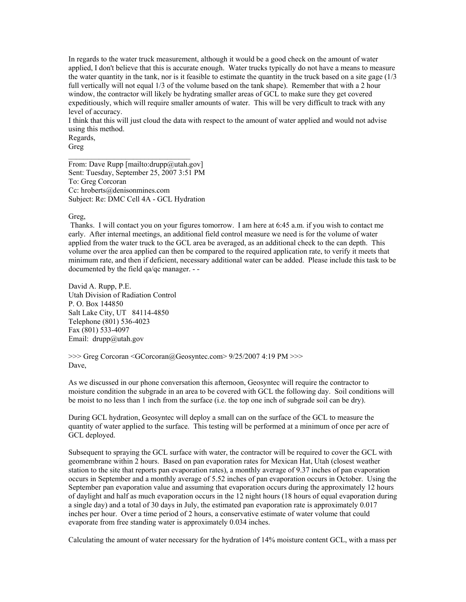In regards to the water truck measurement, although it would be a good check on the amount of water applied, I don't believe that this is accurate enough. Water trucks typically do not have a means to measure the water quantity in the tank, nor is it feasible to estimate the quantity in the truck based on a site gage  $(1/3)$ full vertically will not equal 1/3 of the volume based on the tank shape). Remember that with a 2 hour window, the contractor will likely be hydrating smaller areas of GCL to make sure they get covered expeditiously, which will require smaller amounts of water. This will be very difficult to track with any level of accuracy.

I think that this will just cloud the data with respect to the amount of water applied and would not advise using this method.

Regards, Greg

From: Dave Rupp [mailto:drupp@utah.gov] Sent: Tuesday, September 25, 2007 3:51 PM To: Greg Corcoran Cc: hroberts@denisonmines.com Subject: Re: DMC Cell 4A - GCL Hydration

Greg,

 Thanks. I will contact you on your figures tomorrow. I am here at 6:45 a.m. if you wish to contact me early. After internal meetings, an additional field control measure we need is for the volume of water applied from the water truck to the GCL area be averaged, as an additional check to the can depth. This volume over the area applied can then be compared to the required application rate, to verify it meets that minimum rate, and then if deficient, necessary additional water can be added. Please include this task to be documented by the field qa/qc manager. - -

David A. Rupp, P.E. Utah Division of Radiation Control P. O. Box 144850 Salt Lake City, UT 84114-4850 Telephone (801) 536-4023 Fax (801) 533-4097 Email: drupp@utah.gov

>>> Greg Corcoran <GCorcoran@Geosyntec.com> 9/25/2007 4:19 PM >>> Dave,

As we discussed in our phone conversation this afternoon, Geosyntec will require the contractor to moisture condition the subgrade in an area to be covered with GCL the following day. Soil conditions will be moist to no less than 1 inch from the surface (i.e. the top one inch of subgrade soil can be dry).

During GCL hydration, Geosyntec will deploy a small can on the surface of the GCL to measure the quantity of water applied to the surface. This testing will be performed at a minimum of once per acre of GCL deployed.

Subsequent to spraying the GCL surface with water, the contractor will be required to cover the GCL with geomembrane within 2 hours. Based on pan evaporation rates for Mexican Hat, Utah (closest weather station to the site that reports pan evaporation rates), a monthly average of 9.37 inches of pan evaporation occurs in September and a monthly average of 5.52 inches of pan evaporation occurs in October. Using the September pan evaporation value and assuming that evaporation occurs during the approximately 12 hours of daylight and half as much evaporation occurs in the 12 night hours (18 hours of equal evaporation during a single day) and a total of 30 days in July, the estimated pan evaporation rate is approximately 0.017 inches per hour. Over a time period of 2 hours, a conservative estimate of water volume that could evaporate from free standing water is approximately 0.034 inches.

Calculating the amount of water necessary for the hydration of 14% moisture content GCL, with a mass per